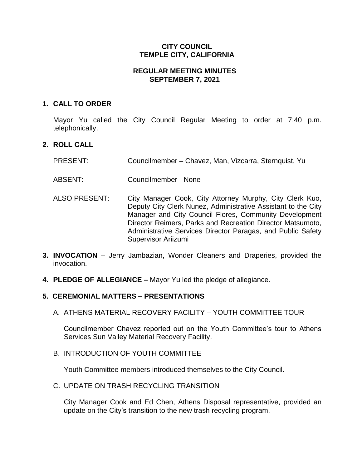## **CITY COUNCIL TEMPLE CITY, CALIFORNIA**

## **REGULAR MEETING MINUTES SEPTEMBER 7, 2021**

## **1. CALL TO ORDER**

Mayor Yu called the City Council Regular Meeting to order at 7:40 p.m. telephonically.

## **2. ROLL CALL**

- PRESENT: Councilmember Chavez, Man, Vizcarra, Sternquist, Yu
- ABSENT: Councilmember None
- ALSO PRESENT: City Manager Cook, City Attorney Murphy, City Clerk Kuo, Deputy City Clerk Nunez, Administrative Assistant to the City Manager and City Council Flores, Community Development Director Reimers, Parks and Recreation Director Matsumoto, Administrative Services Director Paragas, and Public Safety Supervisor Ariizumi
- **3. INVOCATION** Jerry Jambazian, Wonder Cleaners and Draperies, provided the invocation.
- **4. PLEDGE OF ALLEGIANCE –** Mayor Yu led the pledge of allegiance.

## **5. CEREMONIAL MATTERS – PRESENTATIONS**

A. ATHENS MATERIAL RECOVERY FACILITY – YOUTH COMMITTEE TOUR

Councilmember Chavez reported out on the Youth Committee's tour to Athens Services Sun Valley Material Recovery Facility.

B. INTRODUCTION OF YOUTH COMMITTEE

Youth Committee members introduced themselves to the City Council.

C. UPDATE ON TRASH RECYCLING TRANSITION

City Manager Cook and Ed Chen, Athens Disposal representative, provided an update on the City's transition to the new trash recycling program.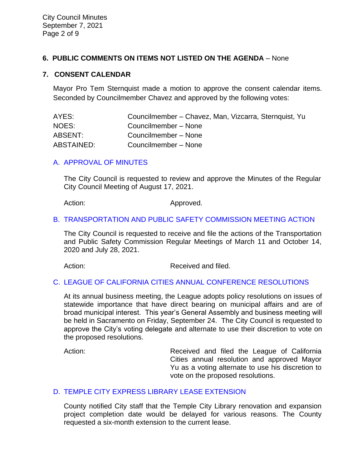## **6. PUBLIC COMMENTS ON ITEMS NOT LISTED ON THE AGENDA** – None

#### **7. CONSENT CALENDAR**

Mayor Pro Tem Sternquist made a motion to approve the consent calendar items. Seconded by Councilmember Chavez and approved by the following votes:

| AYES:      | Councilmember - Chavez, Man, Vizcarra, Sternquist, Yu |
|------------|-------------------------------------------------------|
| NOES:      | Councilmember - None                                  |
| ABSENT:    | Councilmember - None                                  |
| ABSTAINED: | Councilmember - None                                  |

#### [A. APPROVAL OF MINUTES](https://www.ci.temple-city.ca.us/DocumentCenter/View/16691/7A_CCM---2021-08-17)

The City Council is requested to review and approve the Minutes of the Regular City Council Meeting of August 17, 2021.

Action: Approved.

#### [B. TRANSPORTATION AND PUBLIC SAFETY COMMISSION MEETING ACTION](https://www.ci.temple-city.ca.us/DocumentCenter/View/16692/7B_2021-09-07-Transportation-and-Public-Safety-Commission-Actions_v2)

The City Council is requested to receive and file the actions of the Transportation and Public Safety Commission Regular Meetings of March 11 and October 14, 2020 and July 28, 2021.

Action: Received and filed.

#### C. [LEAGUE OF CALIFORNIA CITIES ANNUAL CONFERENCE RESOLUTIONS](https://www.ci.temple-city.ca.us/DocumentCenter/View/16693/7C_Annual-League-of-California-Cities-Conference-Resolutions-2021_Staff-Report-w-attachment)

At its annual business meeting, the League adopts policy resolutions on issues of statewide importance that have direct bearing on municipal affairs and are of broad municipal interest. This year's General Assembly and business meeting will be held in Sacramento on Friday, September 24. The City Council is requested to approve the City's voting delegate and alternate to use their discretion to vote on the proposed resolutions.

Action: **Received and filed the League of California** Cities annual resolution and approved Mayor Yu as a voting alternate to use his discretion to vote on the proposed resolutions.

#### D. TEMPLE CITY EXPRESS [LIBRARY LEASE EXTENSION](https://www.ci.temple-city.ca.us/DocumentCenter/View/16694/7D_Express-Library-Lease_Staff-Report)

County notified City staff that the Temple City Library renovation and expansion project completion date would be delayed for various reasons. The County requested a six-month extension to the current lease.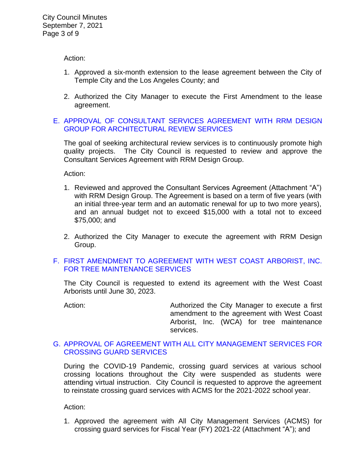Action:

- 1. Approved a six-month extension to the lease agreement between the City of Temple City and the Los Angeles County; and
- 2. Authorized the City Manager to execute the First Amendment to the lease agreement.

## E. [APPROVAL OF CONSULTANT SERVICES AGREEMENT WITH RRM DESIGN](https://www.ci.temple-city.ca.us/DocumentCenter/View/16695/7E_Architectural-Review-Services_Staff-Report-2021-w-attachment)  [GROUP FOR ARCHITECTURAL REVIEW SERVICES](https://www.ci.temple-city.ca.us/DocumentCenter/View/16695/7E_Architectural-Review-Services_Staff-Report-2021-w-attachment)

The goal of seeking architectural review services is to continuously promote high quality projects. The City Council is requested to review and approve the Consultant Services Agreement with RRM Design Group.

Action:

- 1. Reviewed and approved the Consultant Services Agreement (Attachment "A") with RRM Design Group. The Agreement is based on a term of five years (with an initial three-year term and an automatic renewal for up to two more years), and an annual budget not to exceed \$15,000 with a total not to exceed \$75,000; and
- 2. Authorized the City Manager to execute the agreement with RRM Design Group.

## F. [FIRST AMENDMENT TO AGREEMENT WITH WEST COAST ARBORIST, INC.](https://www.ci.temple-city.ca.us/DocumentCenter/View/16696/7F_WCA_Staff-Report_First-Amendment-to-Agreement-w-attachments)  [FOR TREE MAINTENANCE SERVICES](https://www.ci.temple-city.ca.us/DocumentCenter/View/16696/7F_WCA_Staff-Report_First-Amendment-to-Agreement-w-attachments)

The City Council is requested to extend its agreement with the West Coast Arborists until June 30, 2023.

Action: **Authorized the City Manager to execute a first** amendment to the agreement with West Coast Arborist, Inc. (WCA) for tree maintenance services.

#### G. [APPROVAL OF AGREEMENT WITH ALL CITY MANAGEMENT SERVICES FOR](https://www.ci.temple-city.ca.us/DocumentCenter/View/16697/7G_All-City-Management-Services_Staff-Report_v2-w-attachment)  [CROSSING GUARD SERVICES](https://www.ci.temple-city.ca.us/DocumentCenter/View/16697/7G_All-City-Management-Services_Staff-Report_v2-w-attachment)

During the COVID-19 Pandemic, crossing guard services at various school crossing locations throughout the City were suspended as students were attending virtual instruction. City Council is requested to approve the agreement to reinstate crossing guard services with ACMS for the 2021-2022 school year.

Action:

1. Approved the agreement with All City Management Services (ACMS) for crossing guard services for Fiscal Year (FY) 2021-22 (Attachment "A"); and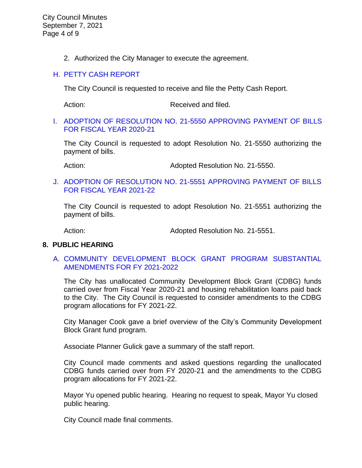City Council Minutes September 7, 2021 Page 4 of 9

2. Authorized the City Manager to execute the agreement.

### H. [PETTY CASH REPORT](https://www.ci.temple-city.ca.us/DocumentCenter/View/16698/7H_Petty-Cash-Report-9-7-21)

The City Council is requested to receive and file the Petty Cash Report.

Action: Received and filed.

#### I. [ADOPTION OF RESOLUTION NO. 21-5550 APPROVING PAYMENT OF BILLS](https://www.ci.temple-city.ca.us/DocumentCenter/View/16699/7I_Warrant-Register-90721-FY2021)  [FOR FISCAL YEAR 2020-21](https://www.ci.temple-city.ca.us/DocumentCenter/View/16699/7I_Warrant-Register-90721-FY2021)

The City Council is requested to adopt Resolution No. 21-5550 authorizing the payment of bills.

Action: Mathematic Monet Adopted Resolution No. 21-5550.

#### J. [ADOPTION OF RESOLUTION NO. 21-5551 APPROVING PAYMENT OF BILLS](https://www.ci.temple-city.ca.us/DocumentCenter/View/16700/7J_Warrant-Register-90721-FY2122)  [FOR FISCAL YEAR 2021-22](https://www.ci.temple-city.ca.us/DocumentCenter/View/16700/7J_Warrant-Register-90721-FY2122)

The City Council is requested to adopt Resolution No. 21-5551 authorizing the payment of bills.

Action: Mathematic Monet Adopted Resolution No. 21-5551.

## **8. PUBLIC HEARING**

## A. [COMMUNITY DEVELOPMENT BLOCK GRANT PROGRAM SUBSTANTIAL](https://www.ci.temple-city.ca.us/DocumentCenter/View/16701/8A_CDBG_Staff-Report-CDBG-Program-Amendments-w-attachment)  [AMENDMENTS FOR FY 2021-2022](https://www.ci.temple-city.ca.us/DocumentCenter/View/16701/8A_CDBG_Staff-Report-CDBG-Program-Amendments-w-attachment)

The City has unallocated Community Development Block Grant (CDBG) funds carried over from Fiscal Year 2020-21 and housing rehabilitation loans paid back to the City. The City Council is requested to consider amendments to the CDBG program allocations for FY 2021-22.

City Manager Cook gave a brief overview of the City's Community Development Block Grant fund program.

Associate Planner Gulick gave a summary of the staff report.

City Council made comments and asked questions regarding the unallocated CDBG funds carried over from FY 2020-21 and the amendments to the CDBG program allocations for FY 2021-22.

Mayor Yu opened public hearing. Hearing no request to speak, Mayor Yu closed public hearing.

City Council made final comments.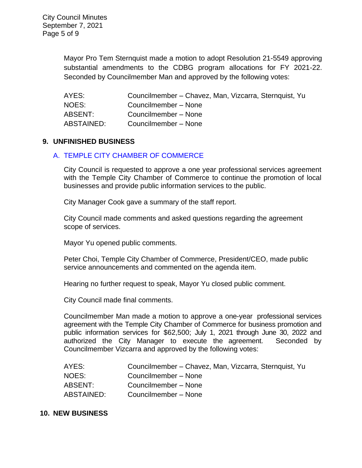Mayor Pro Tem Sternquist made a motion to adopt Resolution 21-5549 approving substantial amendments to the CDBG program allocations for FY 2021-22. Seconded by Councilmember Man and approved by the following votes:

| AYES:      | Councilmember - Chavez, Man, Vizcarra, Sternquist, Yu |
|------------|-------------------------------------------------------|
| NOES:      | Councilmember - None                                  |
| ABSENT:    | Councilmember - None                                  |
| ABSTAINED: | Councilmember - None                                  |

## **9. UNFINISHED BUSINESS**

#### A. [TEMPLE CITY CHAMBER OF COMMERCE](https://www.ci.temple-city.ca.us/DocumentCenter/View/16702/9A_Chamber-of-Commerce_Staff-Report_2021-09-07_v2-w-attachment)

City Council is requested to approve a one year professional services agreement with the Temple City Chamber of Commerce to continue the promotion of local businesses and provide public information services to the public.

City Manager Cook gave a summary of the staff report.

City Council made comments and asked questions regarding the agreement scope of services.

Mayor Yu opened public comments.

Peter Choi, Temple City Chamber of Commerce, President/CEO, made public service announcements and commented on the agenda item.

Hearing no further request to speak, Mayor Yu closed public comment.

City Council made final comments.

Councilmember Man made a motion to approve a one-year professional services agreement with the Temple City Chamber of Commerce for business promotion and public information services for \$62,500; July 1, 2021 through June 30, 2022 and authorized the City Manager to execute the agreement. Seconded by Councilmember Vizcarra and approved by the following votes:

| AYES:      | Councilmember – Chavez, Man, Vizcarra, Sternquist, Yu |
|------------|-------------------------------------------------------|
| NOES:      | Councilmember - None                                  |
| ABSENT:    | Councilmember - None                                  |
| ABSTAINED: | Councilmember - None                                  |

#### **10. NEW BUSINESS**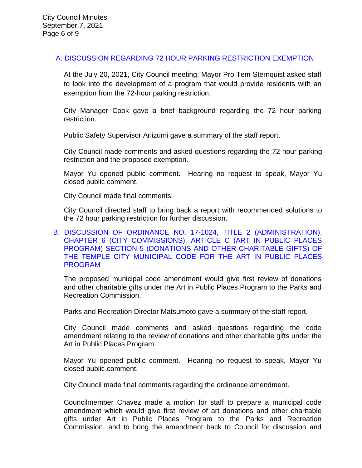## [A. DISCUSSION REGARDING 72 HOUR PARKING RESTRICTION EXEMPTION](https://www.ci.temple-city.ca.us/DocumentCenter/View/16721/16-10A_72-Hour-Parking-Exemption_v3)

At the July 20, 2021, City Council meeting, Mayor Pro Tem Sternquist asked staff to look into the development of a program that would provide residents with an exemption from the 72-hour parking restriction.

City Manager Cook gave a brief background regarding the 72 hour parking restriction.

Public Safety Supervisor Ariizumi gave a summary of the staff report.

City Council made comments and asked questions regarding the 72 hour parking restriction and the proposed exemption.

Mayor Yu opened public comment. Hearing no request to speak, Mayor Yu closed public comment.

City Council made final comments.

City Council directed staff to bring back a report with recommended solutions to the 72 hour parking restriction for further discussion.

### [B. DISCUSSION OF ORDINANCE NO. 17-1024, TITLE 2 \(ADMINISTRATION\),](https://www.ci.temple-city.ca.us/DocumentCenter/View/16703/10B_Art-in-Public-Places-Discussion_staff-report_Art-in-Public-Places_v3)  [CHAPTER 6 \(CITY COMMISSIONS\), ARTICLE C \(ART IN PUBLIC PLACES](https://www.ci.temple-city.ca.us/DocumentCenter/View/16703/10B_Art-in-Public-Places-Discussion_staff-report_Art-in-Public-Places_v3)  [PROGRAM\) SECTION 5 \(DONATIONS AND OTHER CHARITABLE GIFTS\) OF](https://www.ci.temple-city.ca.us/DocumentCenter/View/16703/10B_Art-in-Public-Places-Discussion_staff-report_Art-in-Public-Places_v3)  [THE TEMPLE CITY MUNICIPAL CODE FOR THE ART IN PUBLIC PLACES](https://www.ci.temple-city.ca.us/DocumentCenter/View/16703/10B_Art-in-Public-Places-Discussion_staff-report_Art-in-Public-Places_v3)  [PROGRAM](https://www.ci.temple-city.ca.us/DocumentCenter/View/16703/10B_Art-in-Public-Places-Discussion_staff-report_Art-in-Public-Places_v3)

The proposed municipal code amendment would give first review of donations and other charitable gifts under the Art in Public Places Program to the Parks and Recreation Commission.

Parks and Recreation Director Matsumoto gave a summary of the staff report.

City Council made comments and asked questions regarding the code amendment relating to the review of donations and other charitable gifts under the Art in Public Places Program.

Mayor Yu opened public comment. Hearing no request to speak, Mayor Yu closed public comment.

City Council made final comments regarding the ordinance amendment.

Councilmember Chavez made a motion for staff to prepare a municipal code amendment which would give first review of art donations and other charitable gifts under Art in Public Places Program to the Parks and Recreation Commission, and to bring the amendment back to Council for discussion and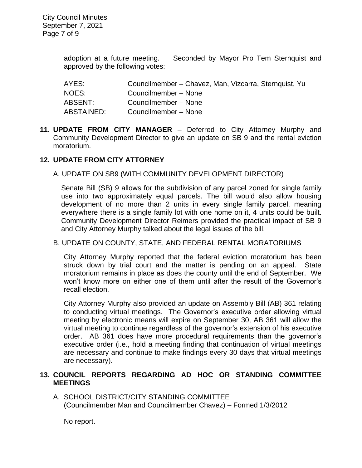adoption at a future meeting. Seconded by Mayor Pro Tem Sternquist and approved by the following votes:

| AYES:      | Councilmember - Chavez, Man, Vizcarra, Sternquist, Yu |
|------------|-------------------------------------------------------|
| NOES:      | Councilmember - None                                  |
| ABSENT:    | Councilmember - None                                  |
| ABSTAINED: | Councilmember - None                                  |

**11. UPDATE FROM CITY MANAGER** – Deferred to City Attorney Murphy and Community Development Director to give an update on SB 9 and the rental eviction moratorium.

#### **12. UPDATE FROM CITY ATTORNEY**

A. UPDATE ON SB9 (WITH COMMUNITY DEVELOPMENT DIRECTOR)

Senate Bill (SB) 9 allows for the subdivision of any parcel zoned for single family use into two approximately equal parcels. The bill would also allow housing development of no more than 2 units in every single family parcel, meaning everywhere there is a single family lot with one home on it, 4 units could be built. Community Development Director Reimers provided the practical impact of SB 9 and City Attorney Murphy talked about the legal issues of the bill.

#### B. UPDATE ON COUNTY, STATE, AND FEDERAL RENTAL MORATORIUMS

City Attorney Murphy reported that the federal eviction moratorium has been struck down by trial court and the matter is pending on an appeal. State moratorium remains in place as does the county until the end of September. We won't know more on either one of them until after the result of the Governor's recall election.

City Attorney Murphy also provided an update on Assembly Bill (AB) 361 relating to conducting virtual meetings. The Governor's executive order allowing virtual meeting by electronic means will expire on September 30, AB 361 will allow the virtual meeting to continue regardless of the governor's extension of his executive order. AB 361 does have more procedural requirements than the governor's executive order (i.e., hold a meeting finding that continuation of virtual meetings are necessary and continue to make findings every 30 days that virtual meetings are necessary).

## **13. COUNCIL REPORTS REGARDING AD HOC OR STANDING COMMITTEE MEETINGS**

A. SCHOOL DISTRICT/CITY STANDING COMMITTEE (Councilmember Man and Councilmember Chavez) – Formed 1/3/2012

No report.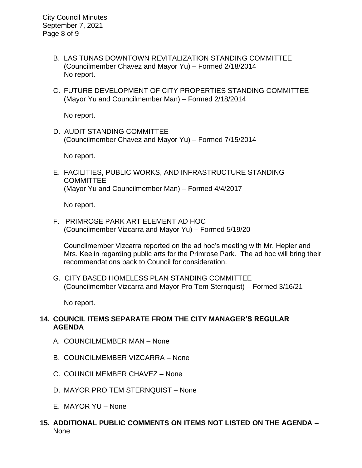City Council Minutes September 7, 2021 Page 8 of 9

- B. LAS TUNAS DOWNTOWN REVITALIZATION STANDING COMMITTEE (Councilmember Chavez and Mayor Yu) – Formed 2/18/2014 No report.
- C. FUTURE DEVELOPMENT OF CITY PROPERTIES STANDING COMMITTEE (Mayor Yu and Councilmember Man) – Formed 2/18/2014

No report.

D. AUDIT STANDING COMMITTEE (Councilmember Chavez and Mayor Yu) – Formed 7/15/2014

No report.

E. FACILITIES, PUBLIC WORKS, AND INFRASTRUCTURE STANDING **COMMITTEE** (Mayor Yu and Councilmember Man) – Formed 4/4/2017

No report.

F. PRIMROSE PARK ART ELEMENT AD HOC (Councilmember Vizcarra and Mayor Yu) – Formed 5/19/20

Councilmember Vizcarra reported on the ad hoc's meeting with Mr. Hepler and Mrs. Keelin regarding public arts for the Primrose Park. The ad hoc will bring their recommendations back to Council for consideration.

G. CITY BASED HOMELESS PLAN STANDING COMMITTEE (Councilmember Vizcarra and Mayor Pro Tem Sternquist) – Formed 3/16/21

No report.

## **14. COUNCIL ITEMS SEPARATE FROM THE CITY MANAGER'S REGULAR AGENDA**

- A. COUNCILMEMBER MAN None
- B. COUNCILMEMBER VIZCARRA None
- C. COUNCILMEMBER CHAVEZ None
- D. MAYOR PRO TEM STERNQUIST None
- E. MAYOR YU None
- **15. ADDITIONAL PUBLIC COMMENTS ON ITEMS NOT LISTED ON THE AGENDA** None